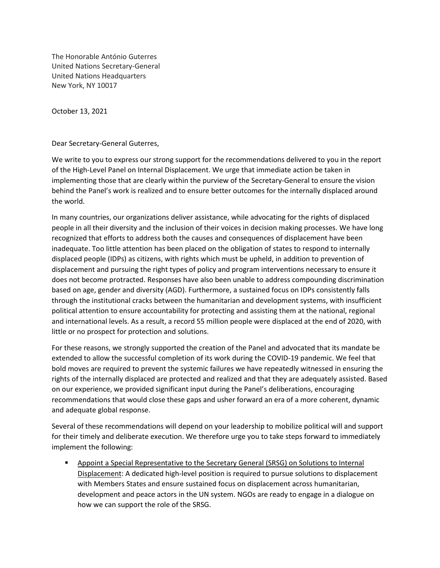The Honorable António Guterres United Nations Secretary-General United Nations Headquarters New York, NY 10017

October 13, 2021

Dear Secretary-General Guterres,

We write to you to express our strong support for the recommendations delivered to you in the report of the High-Level Panel on Internal Displacement. We urge that immediate action be taken in implementing those that are clearly within the purview of the Secretary-General to ensure the vision behind the Panel's work is realized and to ensure better outcomes for the internally displaced around the world.

In many countries, our organizations deliver assistance, while advocating for the rights of displaced people in all their diversity and the inclusion of their voices in decision making processes. We have long recognized that efforts to address both the causes and consequences of displacement have been inadequate. Too little attention has been placed on the obligation of states to respond to internally displaced people (IDPs) as citizens, with rights which must be upheld, in addition to prevention of displacement and pursuing the right types of policy and program interventions necessary to ensure it does not become protracted. Responses have also been unable to address compounding discrimination based on age, gender and diversity (AGD). Furthermore, a sustained focus on IDPs consistently falls through the institutional cracks between the humanitarian and development systems, with insufficient political attention to ensure accountability for protecting and assisting them at the national, regional and international levels. As a result, a record 55 million people were displaced at the end of 2020, with little or no prospect for protection and solutions.

For these reasons, we strongly supported the creation of the Panel and advocated that its mandate be extended to allow the successful completion of its work during the COVID-19 pandemic. We feel that bold moves are required to prevent the systemic failures we have repeatedly witnessed in ensuring the rights of the internally displaced are protected and realized and that they are adequately assisted. Based on our experience, we provided significant input during the Panel's deliberations, encouraging recommendations that would close these gaps and usher forward an era of a more coherent, dynamic and adequate global response.

Several of these recommendations will depend on your leadership to mobilize political will and support for their timely and deliberate execution. We therefore urge you to take steps forward to immediately implement the following:

Appoint a Special Representative to the Secretary General (SRSG) on Solutions to Internal Displacement: A dedicated high-level position is required to pursue solutions to displacement with Members States and ensure sustained focus on displacement across humanitarian, development and peace actors in the UN system. NGOs are ready to engage in a dialogue on how we can support the role of the SRSG.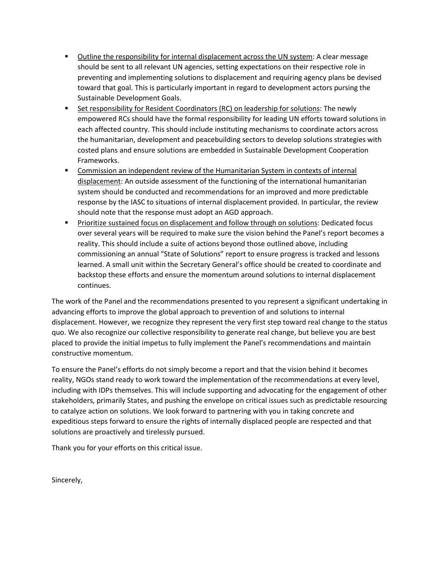- Outline the responsibility for internal displacement across the UN system: A clear message should be sent to all relevant UN agencies, setting expectations on their respective role in preventing and implementing solutions to displacement and requiring agency plans be devised toward that goal. This is particularly important in regard to development actors pursing the Sustainable Development Goals.
- **EXECT:** Set responsibility for Resident Coordinators (RC) on leadership for solutions: The newly empowered RCs should have the formal responsibility for leading UN efforts toward solutions in each affected country. This should include instituting mechanisms to coordinate actors across the humanitarian, development and peacebuilding sectors to develop solutions strategies with costed plans and ensure solutions are embedded in Sustainable Development Cooperation Frameworks.
- **•** Commission an independent review of the Humanitarian System in contexts of internal displacement: An outside assessment of the functioning of the international humanitarian system should be conducted and recommendations for an improved and more predictable response by the IASC to situations of internal displacement provided. In particular, the review should note that the response must adopt an AGD approach.
- Prioritize sustained focus on displacement and follow through on solutions: Dedicated focus over several years will be required to make sure the vision behind the Panel's report becomes a reality. This should include a suite of actions beyond those outlined above, including commissioning an annual "State of Solutions" report to ensure progress is tracked and lessons learned. A small unit within the Secretary General's office should be created to coordinate and backstop these efforts and ensure the momentum around solutions to internal displacement continues.

The work of the Panel and the recommendations presented to you represent a significant undertaking in advancing efforts to improve the global approach to prevention of and solutions to internal displacement. However, we recognize they represent the very first step toward real change to the status quo. We also recognize our collective responsibility to generate real change, but believe you are best placed to provide the initial impetus to fully implement the Panel's recommendations and maintain constructive momentum.

To ensure the Panel's efforts do not simply become a report and that the vision behind it becomes reality, NGOs stand ready to work toward the implementation of the recommendations at every level, including with IDPs themselves. This will include supporting and advocating for the engagement of other stakeholders, primarily States, and pushing the envelope on critical issues such as predictable resourcing to catalyze action on solutions. We look forward to partnering with you in taking concrete and expeditious steps forward to ensure the rights of internally displaced people are respected and that solutions are proactively and tirelessly pursued.

Thank you for your efforts on this critical issue.

Sincerely,